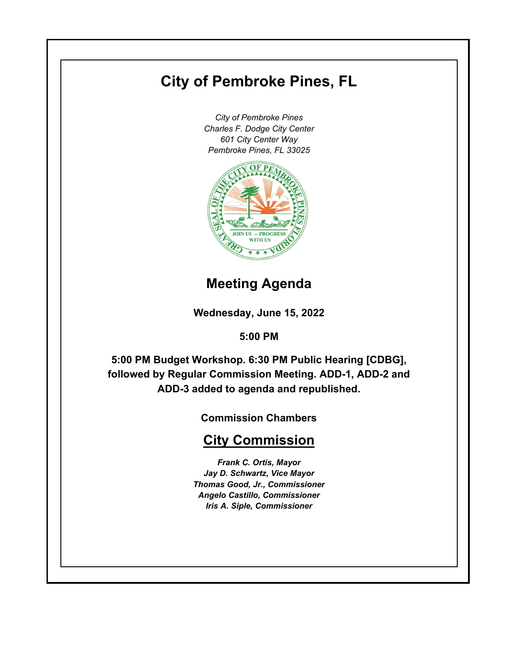# **City of Pembroke Pines, FL**

*City of Pembroke Pines Charles F. Dodge City Center 601 City Center Way Pembroke Pines, FL 33025*



# **Meeting Agenda**

**Wednesday, June 15, 2022**

**5:00 PM**

**5:00 PM Budget Workshop. 6:30 PM Public Hearing [CDBG], followed by Regular Commission Meeting. ADD-1, ADD-2 and ADD-3 added to agenda and republished.**

**Commission Chambers**

# **City Commission**

*Frank C. Ortis, Mayor Jay D. Schwartz, Vice Mayor Thomas Good, Jr., Commissioner Angelo Castillo, Commissioner Iris A. Siple, Commissioner*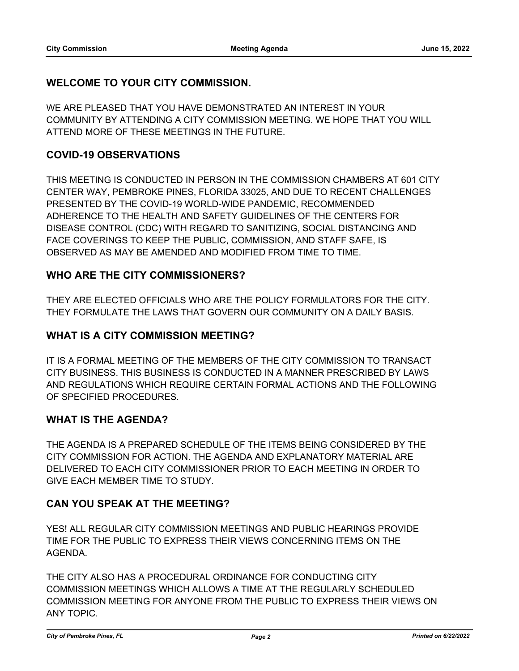# **WELCOME TO YOUR CITY COMMISSION.**

WE ARE PLEASED THAT YOU HAVE DEMONSTRATED AN INTEREST IN YOUR COMMUNITY BY ATTENDING A CITY COMMISSION MEETING. WE HOPE THAT YOU WILL ATTEND MORE OF THESE MEETINGS IN THE FUTURE.

# **COVID-19 OBSERVATIONS**

THIS MEETING IS CONDUCTED IN PERSON IN THE COMMISSION CHAMBERS AT 601 CITY CENTER WAY, PEMBROKE PINES, FLORIDA 33025, AND DUE TO RECENT CHALLENGES PRESENTED BY THE COVID-19 WORLD-WIDE PANDEMIC, RECOMMENDED ADHERENCE TO THE HEALTH AND SAFETY GUIDELINES OF THE CENTERS FOR DISEASE CONTROL (CDC) WITH REGARD TO SANITIZING, SOCIAL DISTANCING AND FACE COVERINGS TO KEEP THE PUBLIC, COMMISSION, AND STAFF SAFE, IS OBSERVED AS MAY BE AMENDED AND MODIFIED FROM TIME TO TIME.

# **WHO ARE THE CITY COMMISSIONERS?**

THEY ARE ELECTED OFFICIALS WHO ARE THE POLICY FORMULATORS FOR THE CITY. THEY FORMULATE THE LAWS THAT GOVERN OUR COMMUNITY ON A DAILY BASIS.

# **WHAT IS A CITY COMMISSION MEETING?**

IT IS A FORMAL MEETING OF THE MEMBERS OF THE CITY COMMISSION TO TRANSACT CITY BUSINESS. THIS BUSINESS IS CONDUCTED IN A MANNER PRESCRIBED BY LAWS AND REGULATIONS WHICH REQUIRE CERTAIN FORMAL ACTIONS AND THE FOLLOWING OF SPECIFIED PROCEDURES.

# **WHAT IS THE AGENDA?**

THE AGENDA IS A PREPARED SCHEDULE OF THE ITEMS BEING CONSIDERED BY THE CITY COMMISSION FOR ACTION. THE AGENDA AND EXPLANATORY MATERIAL ARE DELIVERED TO EACH CITY COMMISSIONER PRIOR TO EACH MEETING IN ORDER TO GIVE EACH MEMBER TIME TO STUDY.

# **CAN YOU SPEAK AT THE MEETING?**

YES! ALL REGULAR CITY COMMISSION MEETINGS AND PUBLIC HEARINGS PROVIDE TIME FOR THE PUBLIC TO EXPRESS THEIR VIEWS CONCERNING ITEMS ON THE AGENDA.

THE CITY ALSO HAS A PROCEDURAL ORDINANCE FOR CONDUCTING CITY COMMISSION MEETINGS WHICH ALLOWS A TIME AT THE REGULARLY SCHEDULED COMMISSION MEETING FOR ANYONE FROM THE PUBLIC TO EXPRESS THEIR VIEWS ON ANY TOPIC.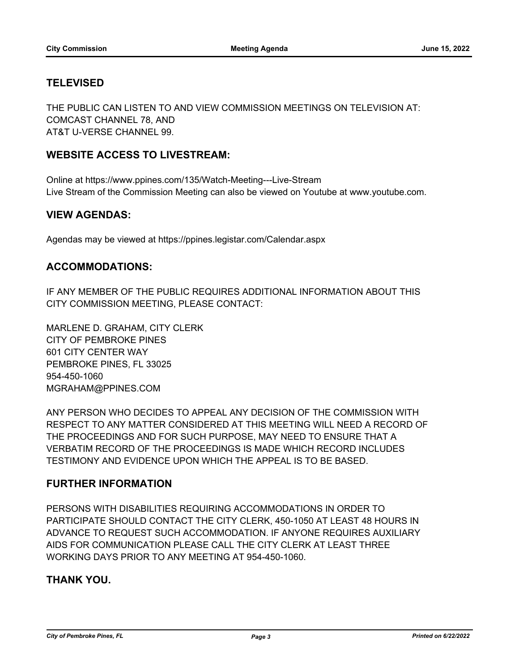# **TELEVISED**

THE PUBLIC CAN LISTEN TO AND VIEW COMMISSION MEETINGS ON TELEVISION AT: COMCAST CHANNEL 78, AND AT&T U-VERSE CHANNEL 99.

# **WEBSITE ACCESS TO LIVESTREAM:**

Online at https://www.ppines.com/135/Watch-Meeting---Live-Stream Live Stream of the Commission Meeting can also be viewed on Youtube at www.youtube.com.

## **VIEW AGENDAS:**

Agendas may be viewed at https://ppines.legistar.com/Calendar.aspx

## **ACCOMMODATIONS:**

IF ANY MEMBER OF THE PUBLIC REQUIRES ADDITIONAL INFORMATION ABOUT THIS CITY COMMISSION MEETING, PLEASE CONTACT:

MARLENE D. GRAHAM, CITY CLERK CITY OF PEMBROKE PINES 601 CITY CENTER WAY PEMBROKE PINES, FL 33025 954-450-1060 MGRAHAM@PPINES.COM

ANY PERSON WHO DECIDES TO APPEAL ANY DECISION OF THE COMMISSION WITH RESPECT TO ANY MATTER CONSIDERED AT THIS MEETING WILL NEED A RECORD OF THE PROCEEDINGS AND FOR SUCH PURPOSE, MAY NEED TO ENSURE THAT A VERBATIM RECORD OF THE PROCEEDINGS IS MADE WHICH RECORD INCLUDES TESTIMONY AND EVIDENCE UPON WHICH THE APPEAL IS TO BE BASED.

# **FURTHER INFORMATION**

PERSONS WITH DISABILITIES REQUIRING ACCOMMODATIONS IN ORDER TO PARTICIPATE SHOULD CONTACT THE CITY CLERK, 450-1050 AT LEAST 48 HOURS IN ADVANCE TO REQUEST SUCH ACCOMMODATION. IF ANYONE REQUIRES AUXILIARY AIDS FOR COMMUNICATION PLEASE CALL THE CITY CLERK AT LEAST THREE WORKING DAYS PRIOR TO ANY MEETING AT 954-450-1060.

# **THANK YOU.**

*City of Pembroke Pines, FL Page 3 Printed on 6/22/2022*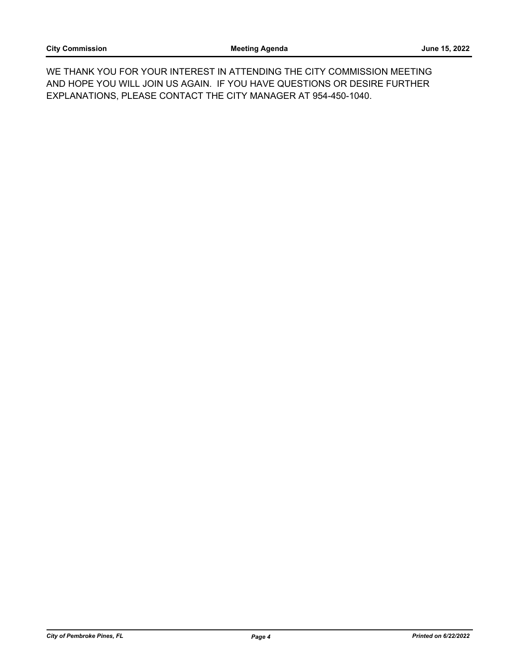WE THANK YOU FOR YOUR INTEREST IN ATTENDING THE CITY COMMISSION MEETING AND HOPE YOU WILL JOIN US AGAIN. IF YOU HAVE QUESTIONS OR DESIRE FURTHER EXPLANATIONS, PLEASE CONTACT THE CITY MANAGER AT 954-450-1040.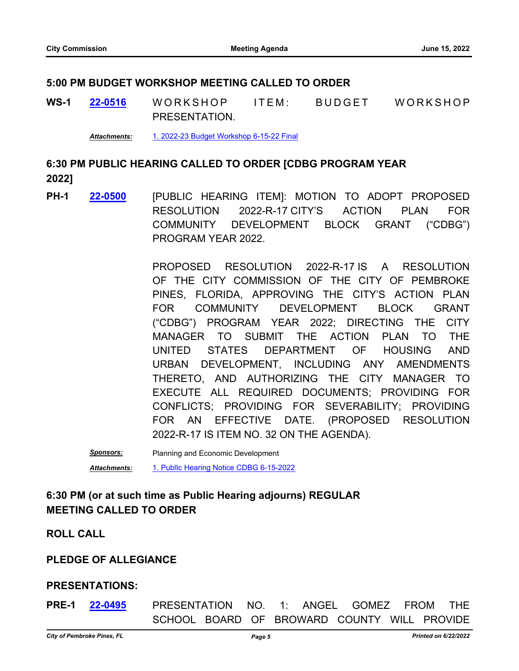### **5:00 PM BUDGET WORKSHOP MEETING CALLED TO ORDER**

WS-1 22-0516 WORKSHOP ITEM: BUDGET WORKSHOP PRESENTATION. **[22-0516](http://ppines.legistar.com/gateway.aspx?m=l&id=/matter.aspx?key=15451)**

*Attachments:* [1. 2022-23 Budget Workshop 6-15-22 Final](http://ppines.legistar.com/gateway.aspx?M=F&ID=a29a3033-e84a-42ef-960f-f1aa2f617adb.pdf)

# **6:30 PM PUBLIC HEARING CALLED TO ORDER [CDBG PROGRAM YEAR 2022]**

PH-1 **22-0500** [PUBLIC HEARING ITEM]: MOTION TO ADOPT PROPOSED RESOLUTION 2022-R-17 CITY'S ACTION PLAN FOR COMMUNITY DEVELOPMENT BLOCK GRANT ("CDBG") PROGRAM YEAR 2022. **[22-0500](http://ppines.legistar.com/gateway.aspx?m=l&id=/matter.aspx?key=15435)**

> PROPOSED RESOLUTION 2022-R-17 IS A RESOLUTION OF THE CITY COMMISSION OF THE CITY OF PEMBROKE PINES, FLORIDA, APPROVING THE CITY'S ACTION PLAN FOR COMMUNITY DEVELOPMENT BLOCK GRANT ("CDBG") PROGRAM YEAR 2022; DIRECTING THE CITY MANAGER TO SUBMIT THE ACTION PLAN TO THE UNITED STATES DEPARTMENT OF HOUSING AND URBAN DEVELOPMENT, INCLUDING ANY AMENDMENTS THERETO, AND AUTHORIZING THE CITY MANAGER TO EXECUTE ALL REQUIRED DOCUMENTS; PROVIDING FOR CONFLICTS; PROVIDING FOR SEVERABILITY; PROVIDING FOR AN EFFECTIVE DATE. (PROPOSED RESOLUTION 2022-R-17 IS ITEM NO. 32 ON THE AGENDA).

*Sponsors:* Planning and Economic Development

*Attachments:* [1. PublIc Hearing Notice CDBG 6-15-2022](http://ppines.legistar.com/gateway.aspx?M=F&ID=d558f999-ee2c-4470-ae41-c2d5bd7cd306.pdf)

# **6:30 PM (or at such time as Public Hearing adjourns) REGULAR MEETING CALLED TO ORDER**

### **ROLL CALL**

# **PLEDGE OF ALLEGIANCE**

# **PRESENTATIONS:**

**PRE-1 22-0495** PRESENTATION NO. 1: ANGEL GOMEZ FROM THE SCHOOL BOARD OF BROWARD COUNTY WILL PROVIDE **[22-0495](http://ppines.legistar.com/gateway.aspx?m=l&id=/matter.aspx?key=15430)**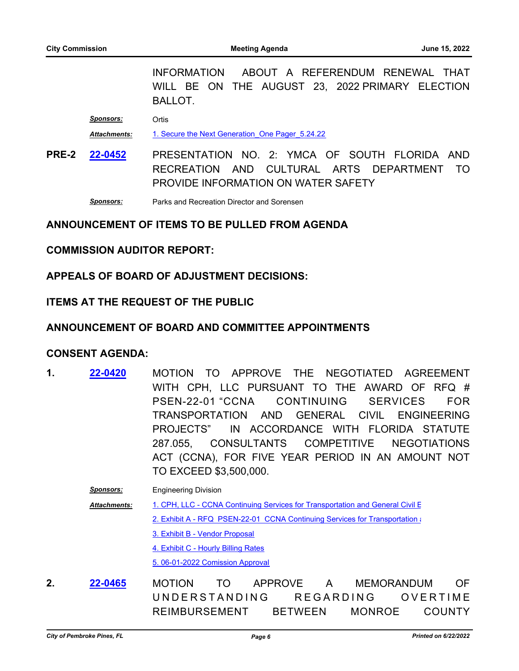INFORMATION ABOUT A REFERENDUM RENEWAL THAT WILL BE ON THE AUGUST 23, 2022 PRIMARY ELECTION BALLOT.

*Sponsors:* Ortis

*Attachments:* [1. Secure the Next Generation\\_One Pager\\_5.24.22](http://ppines.legistar.com/gateway.aspx?M=F&ID=b4a3f896-2bff-427f-93aa-ec983fa80bce.pdf)

**PRE-2** PRESENTATION NO. 2: YMCA OF SOUTH FLORIDA AND RECREATION AND CULTURAL ARTS DEPARTMENT TO PROVIDE INFORMATION ON WATER SAFETY **[22-0452](http://ppines.legistar.com/gateway.aspx?m=l&id=/matter.aspx?key=15386)**

*Sponsors:* Parks and Recreation Director and Sorensen

#### **ANNOUNCEMENT OF ITEMS TO BE PULLED FROM AGENDA**

#### **COMMISSION AUDITOR REPORT:**

#### **APPEALS OF BOARD OF ADJUSTMENT DECISIONS:**

#### **ITEMS AT THE REQUEST OF THE PUBLIC**

#### **ANNOUNCEMENT OF BOARD AND COMMITTEE APPOINTMENTS**

#### **CONSENT AGENDA:**

1. **22-0420** MOTION TO APPROVE THE NEGOTIATED AGREEMENT WITH CPH, LLC PURSUANT TO THE AWARD OF RFQ # PSEN-22-01 "CCNA CONTINUING SERVICES FOR TRANSPORTATION AND GENERAL CIVIL ENGINEERING PROJECTS" IN ACCORDANCE WITH FLORIDA STATUTE 287.055, CONSULTANTS COMPETITIVE NEGOTIATIONS ACT (CCNA), FOR FIVE YEAR PERIOD IN AN AMOUNT NOT TO EXCEED \$3,500,000. **[22-0420](http://ppines.legistar.com/gateway.aspx?m=l&id=/matter.aspx?key=15354)**

> **Sponsors:** Engineering Division [1. CPH, LLC - CCNA Continuing Services for Transportation and General Civil E](http://ppines.legistar.com/gateway.aspx?M=F&ID=9b66c98b-6b7b-48f2-81d7-7d2c1bf9d9d1.pdf) [2. Exhibit A - RFQ PSEN-22-01 CCNA Continuing Services for Transportation a](http://ppines.legistar.com/gateway.aspx?M=F&ID=3915f12c-fb3e-4ab9-8ba9-ccbc695a09cd.pdf)nd General Civil Engineering Projects [3. Exhibit B - Vendor Proposal](http://ppines.legistar.com/gateway.aspx?M=F&ID=9363b1c7-46d2-4c63-96b6-adb993432a9a.pdf) [4. Exhibit C - Hourly Billing Rates](http://ppines.legistar.com/gateway.aspx?M=F&ID=39695e36-6830-4c49-b328-45e1878014ad.pdf) [5. 06-01-2022 Comission Approval](http://ppines.legistar.com/gateway.aspx?M=F&ID=72ca9484-5495-451f-b43e-cd6b0b296fc7.pdf) *Attachments:*

**2.** MOTION TO APPROVE A MEMORANDUM OF UNDERSTANDING REGARDING OVERTIME REIMBURSEMENT BETWEEN MONROE COUNTY **[22-0465](http://ppines.legistar.com/gateway.aspx?m=l&id=/matter.aspx?key=15399)**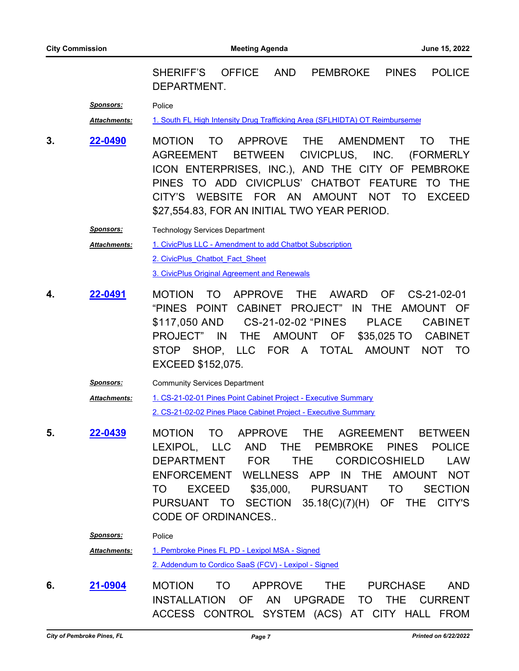SHERIFF'S OFFICE AND PEMBROKE PINES POLICE DEPARTMENT.

*Sponsors:* Police

Attachments: [1. South FL High Intensity Drug Trafficking Area \(SFLHIDTA\) OT Reimbursemen](http://ppines.legistar.com/gateway.aspx?M=F&ID=34443e06-203e-4ee1-899b-0f9517f8740e.pdf)t

**3. 22-0490** MOTION TO APPROVE THE AMENDMENT TO THE AGREEMENT BETWEEN CIVICPLUS, INC. (FORMERLY ICON ENTERPRISES, INC.), AND THE CITY OF PEMBROKE PINES TO ADD CIVICPLUS' CHATBOT FEATURE TO THE CITY'S WEBSITE FOR AN AMOUNT NOT TO EXCEED \$27,554.83, FOR AN INITIAL TWO YEAR PERIOD. **[22-0490](http://ppines.legistar.com/gateway.aspx?m=l&id=/matter.aspx?key=15424)**

> **Sponsors:** Technology Services Department [1. CivicPlus LLC - Amendment to add Chatbot Subscription](http://ppines.legistar.com/gateway.aspx?M=F&ID=c3faae3a-602b-4749-8261-8ed806c0e71b.pdf) [2. CivicPlus\\_Chatbot\\_Fact\\_Sheet](http://ppines.legistar.com/gateway.aspx?M=F&ID=55da5375-8550-4240-bd12-5e9364a258e9.pdf) [3. CivicPlus Original Agreement and Renewals](http://ppines.legistar.com/gateway.aspx?M=F&ID=38fe6053-866f-4079-85e4-c064617c8eb9.pdf) *Attachments:*

- **4.** MOTION TO APPROVE THE AWARD OF CS-21-02-01 "PINES POINT CABINET PROJECT" IN THE AMOUNT OF \$117,050 AND CS-21-02-02 "PINES PLACE CABINET PROJECT" IN THE AMOUNT OF \$35,025 TO CABINET STOP SHOP, LLC FOR A TOTAL AMOUNT NOT TO EXCEED \$152,075. **[22-0491](http://ppines.legistar.com/gateway.aspx?m=l&id=/matter.aspx?key=15425)**
	- *Sponsors:* Community Services Department [1. CS-21-02-01 Pines Point Cabinet Project - Executive Summary](http://ppines.legistar.com/gateway.aspx?M=F&ID=581d2f3e-36f0-407e-8fdc-ed2172626534.pdf) [2. CS-21-02-02 Pines Place Cabinet Project - Executive Summary](http://ppines.legistar.com/gateway.aspx?M=F&ID=b55e570c-f196-43f6-b458-948124c6d346.pdf) *Attachments:*
- **5.** MOTION TO APPROVE THE AGREEMENT BETWEEN LEXIPOL, LLC AND THE PEMBROKE PINES POLICE DEPARTMENT FOR THE CORDICOSHIELD LAW ENFORCEMENT WELLNESS APP IN THE AMOUNT NOT TO EXCEED \$35,000, PURSUANT TO SECTION PURSUANT TO SECTION 35.18(C)(7)(H) OF THE CITY'S CODE OF ORDINANCES.. **[22-0439](http://ppines.legistar.com/gateway.aspx?m=l&id=/matter.aspx?key=15373)**

*Sponsors:* Police

[1. Pembroke Pines FL PD - Lexipol MSA - Signed](http://ppines.legistar.com/gateway.aspx?M=F&ID=ba98ff2f-56ae-4650-b828-36c8f201eef9.pdf) [2. Addendum to Cordico SaaS \(FCV\) - Lexipol - Signed](http://ppines.legistar.com/gateway.aspx?M=F&ID=46758e88-75a2-45c1-b7b2-43c7a327e027.pdf) *Attachments:*

**6.** MOTION TO APPROVE THE PURCHASE AND INSTALLATION OF AN UPGRADE TO THE CURRENT ACCESS CONTROL SYSTEM (ACS) AT CITY HALL FROM **[21-0904](http://ppines.legistar.com/gateway.aspx?m=l&id=/matter.aspx?key=14733)**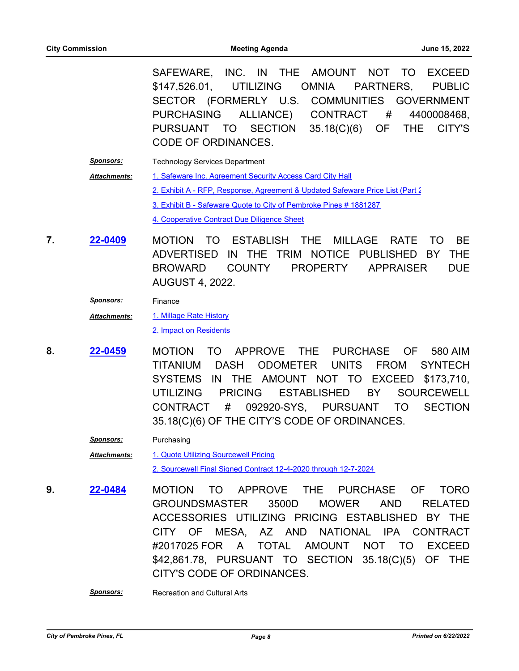SAFEWARE, INC. IN THE AMOUNT NOT TO EXCEED \$147,526.01, UTILIZING OMNIA PARTNERS, PUBLIC SECTOR (FORMERLY U.S. COMMUNITIES GOVERNMENT PURCHASING ALLIANCE) CONTRACT # 4400008468, PURSUANT TO SECTION 35.18(C)(6) OF THE CITY'S CODE OF ORDINANCES.

- **Sponsors:** Technology Services Department [1. Safeware Inc. Agreement Security Access Card City Hall](http://ppines.legistar.com/gateway.aspx?M=F&ID=83752bb9-8bae-465c-83b4-925b427031c4.pdf) [2. Exhibit A - RFP, Response, Agreement & Updated Safeware Price List \(Part 2](http://ppines.legistar.com/gateway.aspx?M=F&ID=3994e6f7-4d2e-457f-833f-3670cf07a2e4.pdf)) [3. Exhibit B - Safeware Quote to City of Pembroke Pines # 1881287](http://ppines.legistar.com/gateway.aspx?M=F&ID=5c8deb6f-815f-4555-80e3-36bbbb73be31.pdf) [4. Cooperative Contract Due Diligence Sheet](http://ppines.legistar.com/gateway.aspx?M=F&ID=5d36fbd9-c2ee-4a9b-b93e-780f8d3765e1.pdf) *Attachments:*
- **7. 22-0409 MOTION TO ESTABLISH THE MILLAGE RATE TO BE** ADVERTISED IN THE TRIM NOTICE PUBLISHED BY THE BROWARD COUNTY PROPERTY APPRAISER DUE AUGUST 4, 2022. **[22-0409](http://ppines.legistar.com/gateway.aspx?m=l&id=/matter.aspx?key=15347)**
	- *Sponsors:* Finance

[1. Millage Rate History](http://ppines.legistar.com/gateway.aspx?M=F&ID=0930562a-03a4-4173-ab5d-32868c8216a5.pdf) *Attachments:*

[2. Impact on Residents](http://ppines.legistar.com/gateway.aspx?M=F&ID=8ed74c14-d2a8-4492-8428-79057e528cbc.pdf)

- **8. 22-0459** MOTION TO APPROVE THE PURCHASE OF 580 AIM TITANIUM DASH ODOMETER UNITS FROM SYNTECH SYSTEMS IN THE AMOUNT NOT TO EXCEED \$173,710, UTILIZING PRICING ESTABLISHED BY SOURCEWELL CONTRACT # 092920-SYS, PURSUANT TO SECTION 35.18(C)(6) OF THE CITY'S CODE OF ORDINANCES. **[22-0459](http://ppines.legistar.com/gateway.aspx?m=l&id=/matter.aspx?key=15393)**
	- *Sponsors:* Purchasing [1. Quote Utilizing Sourcewell Pricing](http://ppines.legistar.com/gateway.aspx?M=F&ID=e6ec8e07-4dcb-49fa-838e-bc589444eac2.pdf) [2. Sourcewell Final Signed Contract 12-4-2020 through 12-7-2024](http://ppines.legistar.com/gateway.aspx?M=F&ID=c7f53c1c-2d99-4ade-95d6-7f88f4976f6b.pdf) *Attachments:*
- **9. 22-0484 MOTION TO APPROVE THE PURCHASE OF TORO** GROUNDSMASTER 3500D MOWER AND RELATED ACCESSORIES UTILIZING PRICING ESTABLISHED BY THE CITY OF MESA, AZ AND NATIONAL IPA CONTRACT #2017025 FOR A TOTAL AMOUNT NOT TO EXCEED \$42,861.78, PURSUANT TO SECTION 35.18(C)(5) OF THE CITY'S CODE OF ORDINANCES. **[22-0484](http://ppines.legistar.com/gateway.aspx?m=l&id=/matter.aspx?key=15418)**

**Sponsors:** Recreation and Cultural Arts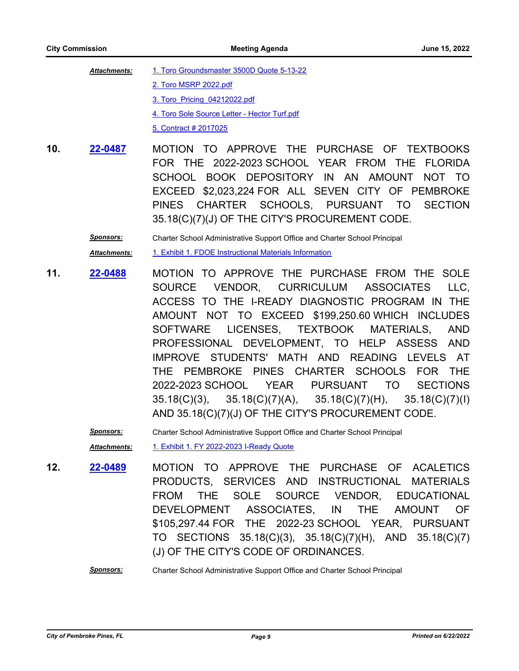| <b>Attachments:</b> | 1. Toro Groundsmaster 3500D Quote 5-13-22    |
|---------------------|----------------------------------------------|
|                     | 2. Toro MSRP 2022.pdf                        |
|                     | 3. Toro Pricing 04212022.pdf                 |
|                     | 4. Toro Sole Source Letter - Hector Turf.pdf |
|                     | 5. Contract # 2017025                        |

10. **22-0487** MOTION TO APPROVE THE PURCHASE OF TEXTBOOKS FOR THE 2022-2023 SCHOOL YEAR FROM THE FLORIDA SCHOOL BOOK DEPOSITORY IN AN AMOUNT NOT TO EXCEED \$2,023,224 FOR ALL SEVEN CITY OF PEMBROKE PINES CHARTER SCHOOLS, PURSUANT TO SECTION 35.18(C)(7)(J) OF THE CITY'S PROCUREMENT CODE. **[22-0487](http://ppines.legistar.com/gateway.aspx?m=l&id=/matter.aspx?key=15421)**

*Sponsors:* Charter School Administrative Support Office and Charter School Principal

*Attachments:* [1. Exhibit 1. FDOE Instructional Materials Information](http://ppines.legistar.com/gateway.aspx?M=F&ID=d57fd151-ded6-4706-9052-f77e6555c163.pdf)

11. **22-0488** MOTION TO APPROVE THE PURCHASE FROM THE SOLE SOURCE VENDOR, CURRICULUM ASSOCIATES LLC, ACCESS TO THE I-READY DIAGNOSTIC PROGRAM IN THE AMOUNT NOT TO EXCEED \$199,250.60 WHICH INCLUDES SOFTWARE LICENSES, TEXTBOOK MATERIALS, AND PROFESSIONAL DEVELOPMENT, TO HELP ASSESS AND IMPROVE STUDENTS' MATH AND READING LEVELS AT THE PEMBROKE PINES CHARTER SCHOOLS FOR THE 2022-2023 SCHOOL YEAR PURSUANT TO SECTIONS 35.18(C)(3), 35.18(C)(7)(A), 35.18(C)(7)(H), 35.18(C)(7)(I) AND 35.18(C)(7)(J) OF THE CITY'S PROCUREMENT CODE. **[22-0488](http://ppines.legistar.com/gateway.aspx?m=l&id=/matter.aspx?key=15422)**

*Sponsors:* Charter School Administrative Support Office and Charter School Principal

*Attachments:* [1. Exhibit 1. FY 2022-2023 I-Ready Quote](http://ppines.legistar.com/gateway.aspx?M=F&ID=f6cce52d-5feb-472a-8656-e843f2a81e30.pdf)

- 12. **22-0489** MOTION TO APPROVE THE PURCHASE OF ACALETICS PRODUCTS, SERVICES AND INSTRUCTIONAL MATERIALS FROM THE SOLE SOURCE VENDOR, EDUCATIONAL DEVELOPMENT ASSOCIATES, IN THE AMOUNT OF \$105,297.44 FOR THE 2022-23 SCHOOL YEAR, PURSUANT TO SECTIONS 35.18(C)(3), 35.18(C)(7)(H), AND 35.18(C)(7) (J) OF THE CITY'S CODE OF ORDINANCES. **[22-0489](http://ppines.legistar.com/gateway.aspx?m=l&id=/matter.aspx?key=15423)**
	- *Sponsors:* Charter School Administrative Support Office and Charter School Principal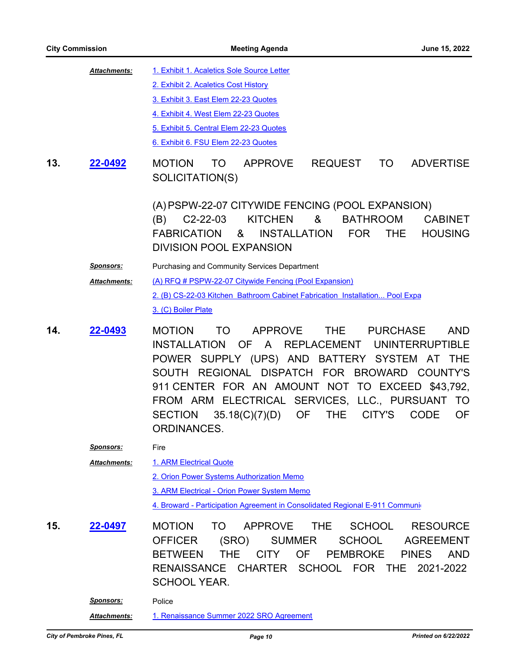|     | <b>City Commission</b>                  | <b>Meeting Agenda</b><br>June 15, 2022                                                                                                                                                                                                                                                                                                                                                                                                                                                 |
|-----|-----------------------------------------|----------------------------------------------------------------------------------------------------------------------------------------------------------------------------------------------------------------------------------------------------------------------------------------------------------------------------------------------------------------------------------------------------------------------------------------------------------------------------------------|
| 13. | Attachments:<br>22-0492                 | 1. Exhibit 1. Acaletics Sole Source Letter<br>2. Exhibit 2. Acaletics Cost History<br>3. Exhibit 3. East Elem 22-23 Quotes<br>4. Exhibit 4. West Elem 22-23 Quotes<br>5. Exhibit 5. Central Elem 22-23 Quotes<br>6. Exhibit 6. FSU Elem 22-23 Quotes<br><b>MOTION</b><br><b>TO</b><br><b>APPROVE</b><br>REQUEST<br><b>ADVERTISE</b><br>TO T<br>SOLICITATION(S)                                                                                                                         |
|     |                                         | (A) PSPW-22-07 CITYWIDE FENCING (POOL EXPANSION)<br><b>BATHROOM</b><br><b>KITCHEN</b><br>8 <sub>1</sub><br>$(B)$ C2-22-03<br><b>CABINET</b><br><b>HOUSING</b><br><b>FABRICATION</b><br>&<br>INSTALLATION<br>FOR<br><b>THE</b><br><b>DIVISION POOL EXPANSION</b>                                                                                                                                                                                                                        |
|     | <u>Sponsors:</u><br>Attachments:        | Purchasing and Community Services Department<br>(A) RFQ # PSPW-22-07 Citywide Fencing (Pool Expansion)<br>2. (B) CS-22-03 Kitchen Bathroom Cabinet Fabrication Installation Pool Expa<br>3. (C) Boiler Plate                                                                                                                                                                                                                                                                           |
| 14. | 22-0493                                 | <b>APPROVE</b><br>THE<br>PURCHASE<br><b>MOTION</b><br>TO<br><b>AND</b><br><b>INSTALLATION</b><br>OF A<br>REPLACEMENT UNINTERRUPTIBLE<br>POWER SUPPLY (UPS) AND BATTERY SYSTEM<br>AT THE<br>REGIONAL DISPATCH FOR BROWARD COUNTY'S<br><b>SOUTH</b><br>911 CENTER FOR AN AMOUNT NOT TO EXCEED \$43,792,<br>FROM ARM ELECTRICAL SERVICES, LLC., PURSUANT<br>TO<br><b>OF</b><br><b>SECTION</b><br>35.18(C)(7)(D)<br><b>THE</b><br>CITY'S<br><b>CODE</b><br><b>OF</b><br><b>ORDINANCES.</b> |
|     | <u>Sponsors:</u><br><b>Attachments:</b> | Fire<br>1. ARM Electrical Quote<br>2. Orion Power Systems Authorization Memo<br>3. ARM Electrical - Orion Power System Memo<br>4. Broward - Participation Agreement in Consolidated Regional E-911 Communi                                                                                                                                                                                                                                                                             |
| 15. | 22-0497                                 | <b>MOTION</b><br>TO<br><b>APPROVE</b><br><b>SCHOOL</b><br><b>THE</b><br><b>RESOURCE</b><br>SCHOOL<br><b>AGREEMENT</b><br><b>OFFICER</b><br>(SRO)<br><b>SUMMER</b><br>THE.<br><b>OF</b><br><b>PEMBROKE</b><br><b>BETWEEN</b><br><b>CITY</b><br><b>PINES</b><br>- AND<br>RENAISSANCE CHARTER<br>SCHOOL FOR THE<br>2021-2022<br><b>SCHOOL YEAR.</b>                                                                                                                                       |
|     | <b>Sponsors:</b><br>Attachments:        | Police<br>1. Renaissance Summer 2022 SRO Agreement                                                                                                                                                                                                                                                                                                                                                                                                                                     |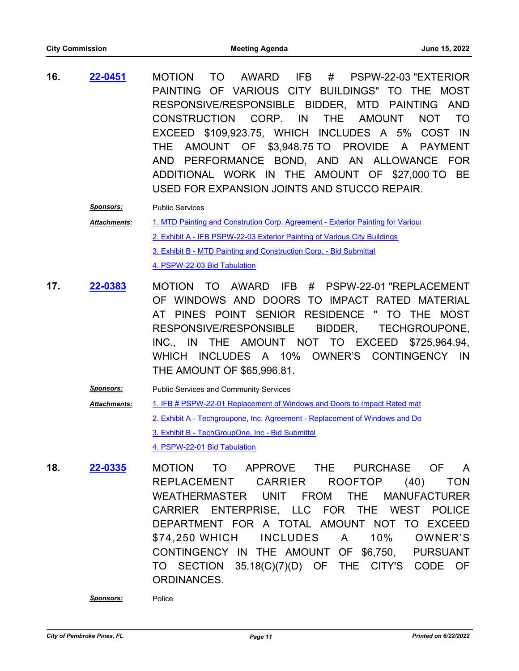**16.** MOTION TO AWARD IFB # PSPW-22-03 "EXTERIOR PAINTING OF VARIOUS CITY BUILDINGS" TO THE MOST RESPONSIVE/RESPONSIBLE BIDDER, MTD PAINTING AND CONSTRUCTION CORP. IN THE AMOUNT NOT TO EXCEED \$109,923.75, WHICH INCLUDES A 5% COST IN THE AMOUNT OF \$3,948.75 TO PROVIDE A PAYMENT AND PERFORMANCE BOND, AND AN ALLOWANCE FOR ADDITIONAL WORK IN THE AMOUNT OF \$27,000 TO BE USED FOR EXPANSION JOINTS AND STUCCO REPAIR. **[22-0451](http://ppines.legistar.com/gateway.aspx?m=l&id=/matter.aspx?key=15385)**

*Sponsors:* Public Services

[1. MTD Painting and Constrution Corp. Agreement - Exterior Painting for Various](http://ppines.legistar.com/gateway.aspx?M=F&ID=9ecedb68-9312-4f5e-8eba-75da4c8b364f.pdf) [2. Exhibit A - IFB PSPW-22-03 Exterior Painting of Various City Buildings](http://ppines.legistar.com/gateway.aspx?M=F&ID=705bc4e5-66e7-48e4-9936-cdc1fc333134.pdf) [3. Exhibit B - MTD Painting and Construction Corp. - Bid Submittal](http://ppines.legistar.com/gateway.aspx?M=F&ID=d4483b43-cd24-4423-a785-bf826a0d3f82.pdf) [4. PSPW-22-03 Bid Tabulation](http://ppines.legistar.com/gateway.aspx?M=F&ID=c90884e6-ff6a-45ae-a15a-68432b1221e0.pdf) *Attachments:*

- 17. **22-0383** MOTION TO AWARD IFB # PSPW-22-01 "REPLACEMENT OF WINDOWS AND DOORS TO IMPACT RATED MATERIAL AT PINES POINT SENIOR RESIDENCE " TO THE MOST RESPONSIVE/RESPONSIBLE BIDDER, TECHGROUPONE, INC., IN THE AMOUNT NOT TO EXCEED \$725,964.94, WHICH INCLUDES A 10% OWNER'S CONTINGENCY IN THE AMOUNT OF \$65,996.81. **[22-0383](http://ppines.legistar.com/gateway.aspx?m=l&id=/matter.aspx?key=15321)**
	- **Sponsors:** Public Services and Community Services [1. IFB # PSPW-22-01 Replacement of Windows and Doors to Impact Rated mat](http://ppines.legistar.com/gateway.aspx?M=F&ID=ddd37e53-4577-4365-a6c1-9d2681fdace7.pdf) [2. Exhibit A - Techgroupone, Inc. Agreement - Replacement of Windows and Do](http://ppines.legistar.com/gateway.aspx?M=F&ID=cd8e0c11-3a5a-473b-8c16-5dc21f1c42b7.pdf) [3. Exhibit B - TechGroupOne, Inc - Bid Submittal](http://ppines.legistar.com/gateway.aspx?M=F&ID=44d4ee66-b803-4df6-a350-46fede646e5a.pdf) [4. PSPW-22-01 Bid Tabulation](http://ppines.legistar.com/gateway.aspx?M=F&ID=5c8ed9df-cc5b-4349-9d1a-c139e49e2cc7.pdf) *Attachments:*
- **18. 22-0335** MOTION TO APPROVE THE PURCHASE OF A REPLACEMENT CARRIER ROOFTOP (40) TON WEATHERMASTER UNIT FROM THE MANUFACTURER CARRIER ENTERPRISE, LLC FOR THE WEST POLICE DEPARTMENT FOR A TOTAL AMOUNT NOT TO EXCEED \$74,250 WHICH INCLUDES A 10% OWNER'S CONTINGENCY IN THE AMOUNT OF \$6,750, PURSUANT TO SECTION 35.18(C)(7)(D) OF THE CITY'S CODE OF ORDINANCES. **[22-0335](http://ppines.legistar.com/gateway.aspx?m=l&id=/matter.aspx?key=15273)**

*Sponsors:* Police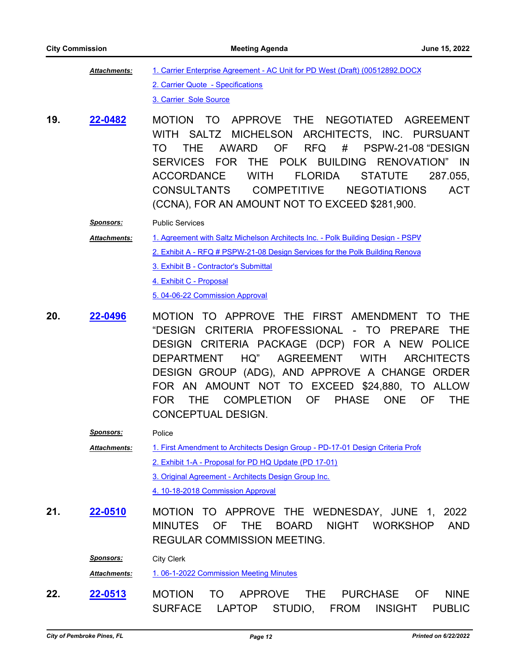[1. Carrier Enterprise Agreement - AC Unit for PD West \(Draft\) \(00512892.DOCX](http://ppines.legistar.com/gateway.aspx?M=F&ID=7760f4c8-4f7d-499a-98d6-f2e83016af57.pdf) [2. Carrier Quote - Specifications](http://ppines.legistar.com/gateway.aspx?M=F&ID=71c3ddca-38ce-4ac5-9f11-0dd84bd89ab0.pdf) [3. Carrier Sole Source](http://ppines.legistar.com/gateway.aspx?M=F&ID=e544efc6-5eb9-4793-8c76-686284c68f19.pdf) *Attachments:*

**19. 22-0482 MOTION TO APPROVE THE NEGOTIATED AGREEMENT** WITH SALTZ MICHELSON ARCHITECTS, INC. PURSUANT TO THE AWARD OF RFQ # PSPW-21-08 "DESIGN SERVICES FOR THE POLK BUILDING RENOVATION" IN ACCORDANCE WITH FLORIDA STATUTE 287.055, CONSULTANTS COMPETITIVE NEGOTIATIONS ACT (CCNA), FOR AN AMOUNT NOT TO EXCEED \$281,900. **[22-0482](http://ppines.legistar.com/gateway.aspx?m=l&id=/matter.aspx?key=15416)**

*Sponsors:* Public Services

1. Agreement with Saltz Michelson Architects Inc. - Polk Building Design - PSPV *Attachments:*

- [2. Exhibit A RFQ # PSPW-21-08 Design Services for the Polk Building Renova](http://ppines.legistar.com/gateway.aspx?M=F&ID=70f1e69a-0694-4486-aea4-ef27fa6e8ed5.pdf)
	- [3. Exhibit B Contractor's Submittal](http://ppines.legistar.com/gateway.aspx?M=F&ID=1b7438f9-9831-4b41-bd00-e3a4bd483580.pdf)
	- [4. Exhibit C Proposal](http://ppines.legistar.com/gateway.aspx?M=F&ID=a15fd698-969a-4fbd-af9e-9ebb8abff920.pdf)

[5. 04-06-22 Commission Approval](http://ppines.legistar.com/gateway.aspx?M=F&ID=c93cda43-f28b-4ab9-baeb-74a1242a8657.pdf)

- **20. 122-0496 MOTION TO APPROVE THE FIRST AMENDMENT TO THE** "DESIGN CRITERIA PROFESSIONAL - TO PREPARE THE DESIGN CRITERIA PACKAGE (DCP) FOR A NEW POLICE DEPARTMENT HQ" AGREEMENT WITH ARCHITECTS DESIGN GROUP (ADG), AND APPROVE A CHANGE ORDER FOR AN AMOUNT NOT TO EXCEED \$24,880, TO ALLOW FOR THE COMPLETION OF PHASE ONE OF THE CONCEPTUAL DESIGN. **[22-0496](http://ppines.legistar.com/gateway.aspx?m=l&id=/matter.aspx?key=15431)**
	- *Sponsors:* Police

[1. First Amendment to Architects Design Group - PD-17-01 Design Criteria Profe](http://ppines.legistar.com/gateway.aspx?M=F&ID=3fd1f0e1-3b36-4eed-af02-cca38f3fe3a5.pdf) [2. Exhibit 1-A - Proposal for PD HQ Update \(PD 17-01\)](http://ppines.legistar.com/gateway.aspx?M=F&ID=90398e2d-fc04-4a30-b7a2-a39dc961b53d.pdf) [3. Original Agreement - Architects Design Group Inc.](http://ppines.legistar.com/gateway.aspx?M=F&ID=c2063174-afd2-4b7d-a1c3-cef8d80bf92d.pdf) [4. 10-18-2018 Commission Approval](http://ppines.legistar.com/gateway.aspx?M=F&ID=393af0fe-703f-4cfe-bedb-b27877560a25.pdf) *Attachments:*

**21.** MOTION TO APPROVE THE WEDNESDAY, JUNE 1, 2022 MINUTES OF THE BOARD NIGHT WORKSHOP AND REGULAR COMMISSION MEETING. **[22-0510](http://ppines.legistar.com/gateway.aspx?m=l&id=/matter.aspx?key=15445)**

*Sponsors:* City Clerk

*Attachments:* [1. 06-1-2022 Commission Meeting Minutes](http://ppines.legistar.com/gateway.aspx?M=F&ID=a8a68756-904e-4f17-9ffc-bfc9bf4246f5.pdf)

22. 22-0513 MOTION TO APPROVE THE PURCHASE OF NINE SURFACE LAPTOP STUDIO, FROM INSIGHT PUBLIC **[22-0513](http://ppines.legistar.com/gateway.aspx?m=l&id=/matter.aspx?key=15448)**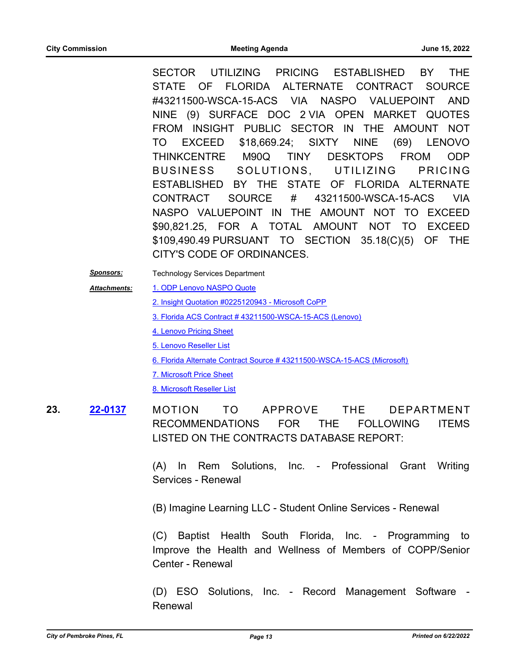SECTOR UTILIZING PRICING ESTABLISHED BY THE STATE OF FLORIDA ALTERNATE CONTRACT SOURCE #43211500-WSCA-15-ACS VIA NASPO VALUEPOINT AND NINE (9) SURFACE DOC 2 VIA OPEN MARKET QUOTES FROM INSIGHT PUBLIC SECTOR IN THE AMOUNT NOT TO EXCEED \$18,669.24; SIXTY NINE (69) LENOVO THINKCENTRE M90Q TINY DESKTOPS FROM ODP BUSINESS SOLUTIONS, UTILIZING PRICING ESTABLISHED BY THE STATE OF FLORIDA ALTERNATE CONTRACT SOURCE # 43211500-WSCA-15-ACS VIA NASPO VALUEPOINT IN THE AMOUNT NOT TO EXCEED \$90,821.25, FOR A TOTAL AMOUNT NOT TO EXCEED \$109,490.49 PURSUANT TO SECTION 35.18(C)(5) OF THE CITY'S CODE OF ORDINANCES.

*Sponsors:* Technology Services Department

- [1. ODP Lenovo NASPO Quote](http://ppines.legistar.com/gateway.aspx?M=F&ID=8742c029-790f-48a0-9a61-8841773e0821.pdf) *Attachments:*
	- [2. Insight Quotation #0225120943 Microsoft CoPP](http://ppines.legistar.com/gateway.aspx?M=F&ID=b1b439c7-2c21-4eec-a9fe-b9f50734bd06.PDF)
	- [3. Florida ACS Contract # 43211500-WSCA-15-ACS \(Lenovo\)](http://ppines.legistar.com/gateway.aspx?M=F&ID=a387e0df-6dbf-4778-a276-16e7c21ffafc.pdf)
	- [4. Lenovo Pricing Sheet](http://ppines.legistar.com/gateway.aspx?M=F&ID=71317750-3d22-48e3-a936-85ceceac4e82.pdf)
	- [5. Lenovo Reseller List](http://ppines.legistar.com/gateway.aspx?M=F&ID=d81b24cf-8705-460d-895c-5ac411891c42.pdf)
	- [6. Florida Alternate Contract Source # 43211500-WSCA-15-ACS \(Microsoft\)](http://ppines.legistar.com/gateway.aspx?M=F&ID=20521499-ead8-4e33-9fd3-fb908d9e0335.pdf)
	- [7. Microsoft Price Sheet](http://ppines.legistar.com/gateway.aspx?M=F&ID=c7a8ad42-ac2b-46fa-a866-ab0d84d00ab1.pdf)

[8. Microsoft Reseller List](http://ppines.legistar.com/gateway.aspx?M=F&ID=f2d9daa8-fa73-4175-8a7a-aaf492bea4bc.pdf)

23. 22-0137 MOTION TO APPROVE THE DEPARTMENT RECOMMENDATIONS FOR THE FOLLOWING ITEMS LISTED ON THE CONTRACTS DATABASE REPORT: **[22-0137](http://ppines.legistar.com/gateway.aspx?m=l&id=/matter.aspx?key=15076)**

> (A) In Rem Solutions, Inc. - Professional Grant Writing Services - Renewal

(B) Imagine Learning LLC - Student Online Services - Renewal

(C) Baptist Health South Florida, Inc. - Programming to Improve the Health and Wellness of Members of COPP/Senior Center - Renewal

(D) ESO Solutions, Inc. - Record Management Software - Renewal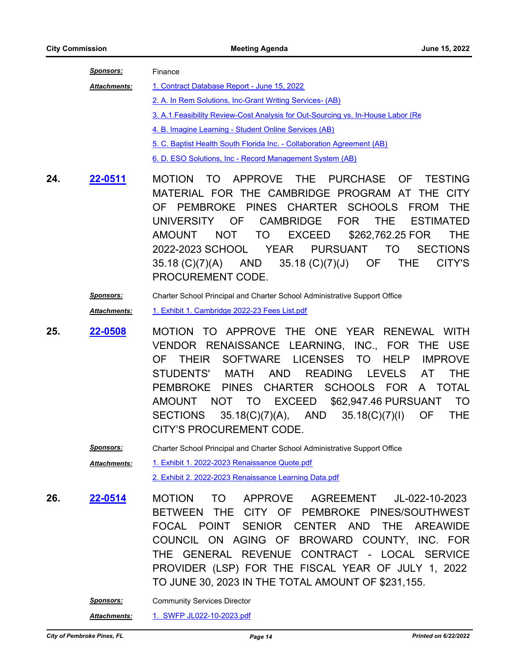| Sponsors:           | Finance                                                                          |
|---------------------|----------------------------------------------------------------------------------|
| <b>Attachments:</b> | 1. Contract Database Report - June 15, 2022                                      |
|                     | 2. A. In Rem Solutions, Inc-Grant Writing Services- (AB)                         |
|                     | 3. A.1. Feasibility Review-Cost Analysis for Out-Sourcing vs. In-House Labor (Re |
|                     | 4. B. Imagine Learning - Student Online Services (AB)                            |
|                     | 5. C. Baptist Health South Florida Inc. - Collaboration Agreement (AB)           |
|                     | 6. D. ESO Solutions, Inc - Record Management System (AB)                         |

24. **22-0511** MOTION TO APPROVE THE PURCHASE OF TESTING MATERIAL FOR THE CAMBRIDGE PROGRAM AT THE CITY OF PEMBROKE PINES CHARTER SCHOOLS FROM THE UNIVERSITY OF CAMBRIDGE FOR THE ESTIMATED AMOUNT NOT TO EXCEED \$262,762.25 FOR THE 2022-2023 SCHOOL YEAR PURSUANT TO SECTIONS 35.18 (C)(7)(A) AND 35.18 (C)(7)(J) OF THE CITY'S PROCUREMENT CODE. **[22-0511](http://ppines.legistar.com/gateway.aspx?m=l&id=/matter.aspx?key=15446)**

### *Sponsors:* Charter School Principal and Charter School Administrative Support Office *Attachments:* [1. Exhibit 1. Cambridge 2022-23 Fees List.pdf](http://ppines.legistar.com/gateway.aspx?M=F&ID=89213b12-4ecd-4381-94c2-9d97d5b0418c.pdf)

**25. 122-0508 MOTION TO APPROVE THE ONE YEAR RENEWAL WITH** VENDOR RENAISSANCE LEARNING, INC., FOR THE USE OF THEIR SOFTWARE LICENSES TO HELP IMPROVE STUDENTS' MATH AND READING LEVELS AT THE PEMBROKE PINES CHARTER SCHOOLS FOR A TOTAL AMOUNT NOT TO EXCEED \$62,947.46 PURSUANT TO SECTIONS 35.18(C)(7)(A), AND 35.18(C)(7)(I) OF THE CITY'S PROCUREMENT CODE. **[22-0508](http://ppines.legistar.com/gateway.aspx?m=l&id=/matter.aspx?key=15443)**

*Sponsors:* Charter School Principal and Charter School Administrative Support Office

[1. Exhibit 1. 2022-2023 Renaissance Quote.pdf](http://ppines.legistar.com/gateway.aspx?M=F&ID=b60c7bf3-682d-4705-98d4-2fbcea7b574d.pdf) [2. Exhibit 2. 2022-2023 Renaissance Learning Data.pdf](http://ppines.legistar.com/gateway.aspx?M=F&ID=15552c16-bd80-4561-b3ca-68deee7c247b.pdf) *Attachments:*

**26. 22-0514** MOTION TO APPROVE AGREEMENT JL-022-10-2023 BETWEEN THE CITY OF PEMBROKE PINES/SOUTHWEST FOCAL POINT SENIOR CENTER AND THE AREAWIDE COUNCIL ON AGING OF BROWARD COUNTY, INC. FOR THE GENERAL REVENUE CONTRACT - LOCAL SERVICE PROVIDER (LSP) FOR THE FISCAL YEAR OF JULY 1, 2022 TO JUNE 30, 2023 IN THE TOTAL AMOUNT OF \$231,155. **[22-0514](http://ppines.legistar.com/gateway.aspx?m=l&id=/matter.aspx?key=15449)**

*Sponsors:* Community Services Director

*Attachments:* [1. SWFP JL022-10-2023.pdf](http://ppines.legistar.com/gateway.aspx?M=F&ID=c9be1362-e5b4-4646-8479-aeb399875eef.pdf)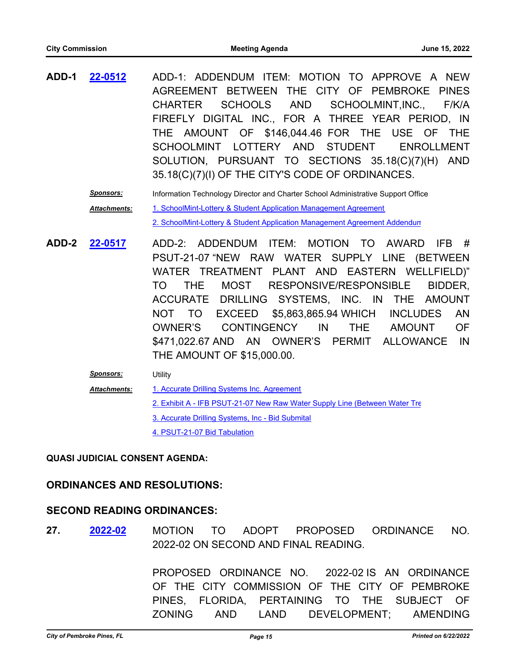- **ADD-1** ADD-1: ADDENDUM ITEM: MOTION TO APPROVE A NEW AGREEMENT BETWEEN THE CITY OF PEMBROKE PINES CHARTER SCHOOLS AND SCHOOLMINT,INC., F/K/A FIREFLY DIGITAL INC., FOR A THREE YEAR PERIOD, IN THE AMOUNT OF \$146,044.46 FOR THE USE OF THE SCHOOLMINT LOTTERY AND STUDENT ENROLLMENT SOLUTION, PURSUANT TO SECTIONS 35.18(C)(7)(H) AND 35.18(C)(7)(I) OF THE CITY'S CODE OF ORDINANCES. **[22-0512](http://ppines.legistar.com/gateway.aspx?m=l&id=/matter.aspx?key=15447)**
	- *Sponsors:* Information Technology Director and Charter School Administrative Support Office [1. SchoolMint-Lottery & Student Application Management Agreement](http://ppines.legistar.com/gateway.aspx?M=F&ID=004779d8-e2f9-43fe-9f96-47a784feb46e.pdf) [2. SchoolMint-Lottery & Student Application Management Agreement Addendum](http://ppines.legistar.com/gateway.aspx?M=F&ID=24de3c2c-68f5-4aeb-a38d-3374156f023b.pdf) *Attachments:*
- **ADD-2** ADD-2: ADDENDUM ITEM: MOTION TO AWARD IFB # PSUT-21-07 "NEW RAW WATER SUPPLY LINE (BETWEEN WATER TREATMENT PLANT AND EASTERN WELLFIELD)" TO THE MOST RESPONSIVE/RESPONSIBLE BIDDER, ACCURATE DRILLING SYSTEMS, INC. IN THE AMOUNT NOT TO EXCEED \$5,863,865.94 WHICH INCLUDES AN OWNER'S CONTINGENCY IN THE AMOUNT OF \$471,022.67 AND AN OWNER'S PERMIT ALLOWANCE IN THE AMOUNT OF \$15,000.00. **[22-0517](http://ppines.legistar.com/gateway.aspx?m=l&id=/matter.aspx?key=15452)**
	- *Sponsors:* Utility [1. Accurate Drilling Systems Inc. Agreement](http://ppines.legistar.com/gateway.aspx?M=F&ID=8a3e74a0-c3ff-4100-8521-b47a28b3980d.pdf) [2. Exhibit A - IFB PSUT-21-07 New Raw Water Supply Line \(Between Water Tre](http://ppines.legistar.com/gateway.aspx?M=F&ID=71bc69e4-7377-4a4e-b1d5-9d9ac6b845f4.pdf) [3. Accurate Drilling Systems, Inc - Bid Submital](http://ppines.legistar.com/gateway.aspx?M=F&ID=eaf16ffb-1dc8-45b9-b1bd-00e052b21790.pdf) [4. PSUT-21-07 Bid Tabulation](http://ppines.legistar.com/gateway.aspx?M=F&ID=e66818c8-ba05-4a4e-8692-b7171b45212b.pdf) *Attachments:*

#### **QUASI JUDICIAL CONSENT AGENDA:**

#### **ORDINANCES AND RESOLUTIONS:**

#### **SECOND READING ORDINANCES:**

27. 2022-02 MOTION TO ADOPT PROPOSED ORDINANCE NO. 2022-02 ON SECOND AND FINAL READING. **[2022-02](http://ppines.legistar.com/gateway.aspx?m=l&id=/matter.aspx?key=15309)**

> PROPOSED ORDINANCE NO. 2022-02 IS AN ORDINANCE OF THE CITY COMMISSION OF THE CITY OF PEMBROKE PINES, FLORIDA, PERTAINING TO THE SUBJECT OF ZONING AND LAND DEVELOPMENT; AMENDING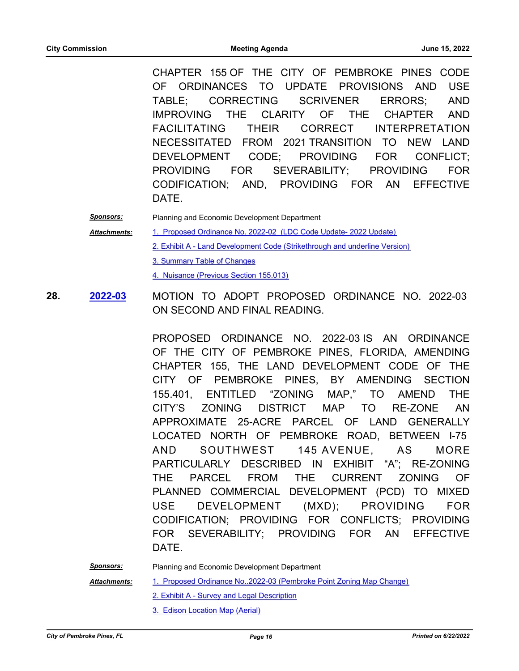CHAPTER 155 OF THE CITY OF PEMBROKE PINES CODE OF ORDINANCES TO UPDATE PROVISIONS AND USE TABLE; CORRECTING SCRIVENER ERRORS; AND IMPROVING THE CLARITY OF THE CHAPTER AND FACILITATING THEIR CORRECT INTERPRETATION NECESSITATED FROM 2021 TRANSITION TO NEW LAND DEVELOPMENT CODE; PROVIDING FOR CONFLICT; PROVIDING FOR SEVERABILITY; PROVIDING FOR CODIFICATION; AND, PROVIDING FOR AN EFFECTIVE DATE.

- *Sponsors:* Planning and Economic Development Department [1. Proposed Ordinance No. 2022-02 \(LDC Code Update- 2022 Update\)](http://ppines.legistar.com/gateway.aspx?M=F&ID=928dbf7b-cf60-408e-a968-3b320ef7cef6.pdf) [2. Exhibit A - Land Development Code \(Strikethrough and underline Version\)](http://ppines.legistar.com/gateway.aspx?M=F&ID=4de7b43f-3445-4de6-89bf-f90cb6cde99b.pdf) [3. Summary Table of Changes](http://ppines.legistar.com/gateway.aspx?M=F&ID=c3b0f4f4-a8f0-451c-93e8-d430a5992c7b.pdf) [4. Nuisance \(Previous Section 155.013\)](http://ppines.legistar.com/gateway.aspx?M=F&ID=ff078fa3-4bd2-4a00-9a9d-ae27900d9cb6.pdf) *Attachments:*
- **28. 2022-03 MOTION TO ADOPT PROPOSED ORDINANCE NO. 2022-03** ON SECOND AND FINAL READING. **[2022-03](http://ppines.legistar.com/gateway.aspx?m=l&id=/matter.aspx?key=15320)**

PROPOSED ORDINANCE NO. 2022-03 IS AN ORDINANCE OF THE CITY OF PEMBROKE PINES, FLORIDA, AMENDING CHAPTER 155, THE LAND DEVELOPMENT CODE OF THE CITY OF PEMBROKE PINES, BY AMENDING SECTION 155.401, ENTITLED "ZONING MAP," TO AMEND THE CITY'S ZONING DISTRICT MAP TO RE-ZONE AN APPROXIMATE 25-ACRE PARCEL OF LAND GENERALLY LOCATED NORTH OF PEMBROKE ROAD, BETWEEN I-75 AND SOUTHWEST 145 AVENUE, AS MORE PARTICULARLY DESCRIBED IN EXHIBIT "A"; RE-ZONING THE PARCEL FROM THE CURRENT ZONING OF PLANNED COMMERCIAL DEVELOPMENT (PCD) TO MIXED USE DEVELOPMENT (MXD); PROVIDING FOR CODIFICATION; PROVIDING FOR CONFLICTS; PROVIDING FOR SEVERABILITY; PROVIDING FOR AN EFFECTIVE DATE.

*Sponsors:* Planning and Economic Development Department

*Attachments:*

- [1. Proposed Ordinance No..2022-03 \(Pembroke Point Zoning Map Change\)](http://ppines.legistar.com/gateway.aspx?M=F&ID=ab7e3c4a-2c9a-4c24-8e3e-e943e9df1522.pdf)
- [2. Exhibit A Survey and Legal Description](http://ppines.legistar.com/gateway.aspx?M=F&ID=b6b5c846-ec49-4ba5-bc14-effe9256244a.pdf)
- [3. Edison Location Map \(Aerial\)](http://ppines.legistar.com/gateway.aspx?M=F&ID=e7db91bd-6e8a-4336-986a-625b07b9e649.pdf)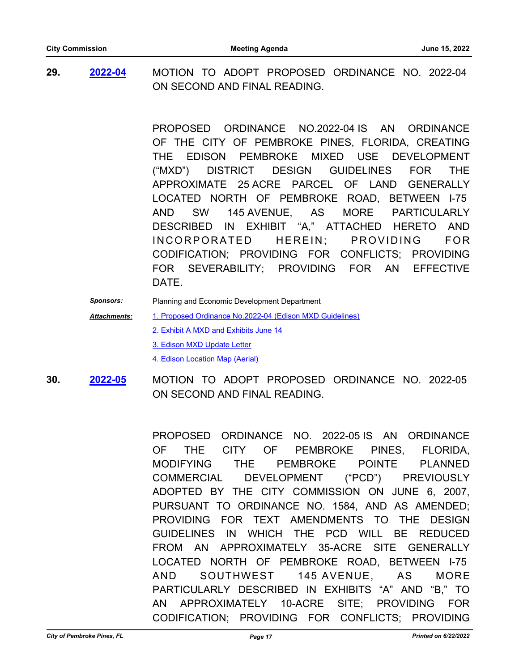**29.** MOTION TO ADOPT PROPOSED ORDINANCE NO. 2022-04 ON SECOND AND FINAL READING. **[2022-04](http://ppines.legistar.com/gateway.aspx?m=l&id=/matter.aspx?key=15319)**

> PROPOSED ORDINANCE NO.2022-04 IS AN ORDINANCE OF THE CITY OF PEMBROKE PINES, FLORIDA, CREATING THE EDISON PEMBROKE MIXED USE DEVELOPMENT ("MXD") DISTRICT DESIGN GUIDELINES FOR THE APPROXIMATE 25 ACRE PARCEL OF LAND GENERALLY LOCATED NORTH OF PEMBROKE ROAD, BETWEEN I-75 AND SW 145 AVENUE, AS MORE PARTICULARLY DESCRIBED IN EXHIBIT "A," ATTACHED HERETO AND INCORPORATED HEREIN: PROVIDING FOR CODIFICATION; PROVIDING FOR CONFLICTS; PROVIDING FOR SEVERABILITY; PROVIDING FOR AN EFFECTIVE DATE.

*Sponsors:* Planning and Economic Development Department [1. Proposed Ordinance No.2022-04 \(Edison MXD Guidelines\)](http://ppines.legistar.com/gateway.aspx?M=F&ID=6dc8892e-0bac-4fe5-b70a-befd4c67a66e.pdf) [2. Exhibit A MXD and Exhibits June 14](http://ppines.legistar.com/gateway.aspx?M=F&ID=efa1cdc3-0776-44ea-957f-7e6d24ef4a1e.pdf) [3. Edison MXD Update Letter](http://ppines.legistar.com/gateway.aspx?M=F&ID=d045e199-c92b-4cb3-8ded-7259536f4922.pdf) [4. Edison Location Map \(Aerial\)](http://ppines.legistar.com/gateway.aspx?M=F&ID=0f9a1aae-c9e8-440a-bb57-bc641a95f5b2.pdf) *Attachments:*

**30.** MOTION TO ADOPT PROPOSED ORDINANCE NO. 2022-05 ON SECOND AND FINAL READING. **[2022-05](http://ppines.legistar.com/gateway.aspx?m=l&id=/matter.aspx?key=15315)**

> PROPOSED ORDINANCE NO. 2022-05 IS AN ORDINANCE OF THE CITY OF PEMBROKE PINES, FLORIDA, MODIFYING THE PEMBROKE POINTE PLANNED COMMERCIAL DEVELOPMENT ("PCD") PREVIOUSLY ADOPTED BY THE CITY COMMISSION ON JUNE 6, 2007, PURSUANT TO ORDINANCE NO. 1584, AND AS AMENDED; PROVIDING FOR TEXT AMENDMENTS TO THE DESIGN GUIDELINES IN WHICH THE PCD WILL BE REDUCED FROM AN APPROXIMATELY 35-ACRE SITE GENERALLY LOCATED NORTH OF PEMBROKE ROAD, BETWEEN I-75 AND SOUTHWEST 145 AVENUE, AS MORE PARTICULARLY DESCRIBED IN EXHIBITS "A" AND "B," TO AN APPROXIMATELY 10-ACRE SITE; PROVIDING FOR CODIFICATION; PROVIDING FOR CONFLICTS; PROVIDING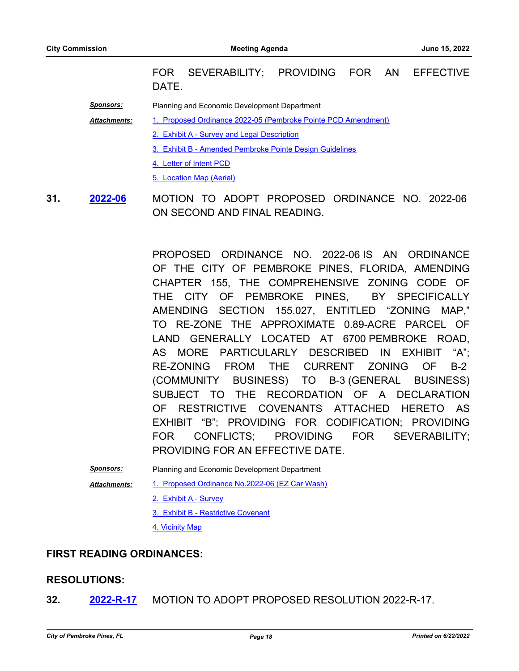FOR SEVERABILITY; PROVIDING FOR AN EFFECTIVE DATE.

*Sponsors:* Planning and Economic Development Department

[1. Proposed Ordinance 2022-05 \(Pembroke Pointe PCD Amendment\)](http://ppines.legistar.com/gateway.aspx?M=F&ID=ad63b71a-1256-4643-a0e4-86536c54a6e3.pdf) *Attachments:*

- [2. Exhibit A Survey and Legal Description](http://ppines.legistar.com/gateway.aspx?M=F&ID=84c46611-55ac-4398-8616-c8471557219f.pdf)
- [3. Exhibit B Amended Pembroke Pointe Design Guidelines](http://ppines.legistar.com/gateway.aspx?M=F&ID=a6109e6a-49e8-479c-8129-a16d0fca33a9.pdf)
- [4. Letter of Intent PCD](http://ppines.legistar.com/gateway.aspx?M=F&ID=040b9414-06d1-44fe-893a-24a9865d2c76.pdf)
- [5. Location Map \(Aerial\)](http://ppines.legistar.com/gateway.aspx?M=F&ID=77b4b6cf-303a-4b54-9ed7-b29e1ee745d6.pdf)
- **31. 2022-06** MOTION TO ADOPT PROPOSED ORDINANCE NO. 2022-06 ON SECOND AND FINAL READING. **[2022-06](http://ppines.legistar.com/gateway.aspx?m=l&id=/matter.aspx?key=15314)**

PROPOSED ORDINANCE NO. 2022-06 IS AN ORDINANCE OF THE CITY OF PEMBROKE PINES, FLORIDA, AMENDING CHAPTER 155, THE COMPREHENSIVE ZONING CODE OF THE CITY OF PEMBROKE PINES, BY SPECIFICALLY AMENDING SECTION 155.027, ENTITLED "ZONING MAP," TO RE-ZONE THE APPROXIMATE 0.89-ACRE PARCEL OF LAND GENERALLY LOCATED AT 6700 PEMBROKE ROAD, AS MORE PARTICULARLY DESCRIBED IN EXHIBIT "A"; RE-ZONING FROM THE CURRENT ZONING OF B-2 (COMMUNITY BUSINESS) TO B-3 (GENERAL BUSINESS) SUBJECT TO THE RECORDATION OF A DECLARATION OF RESTRICTIVE COVENANTS ATTACHED HERETO AS EXHIBIT "B"; PROVIDING FOR CODIFICATION; PROVIDING FOR CONFLICTS; PROVIDING FOR SEVERABILITY; PROVIDING FOR AN EFFECTIVE DATE.

*Sponsors:* Planning and Economic Development Department

[1. Proposed Ordinance No.2022-06 \(EZ Car Wash\)](http://ppines.legistar.com/gateway.aspx?M=F&ID=bff386e2-e25a-43e4-9195-88dc20ca6e17.pdf) *Attachments:*

- [2. Exhibit A Survey](http://ppines.legistar.com/gateway.aspx?M=F&ID=666b4d43-efe4-45d0-802f-85375fbddcf0.pdf)
- [3. Exhibit B Restrictive Covenant](http://ppines.legistar.com/gateway.aspx?M=F&ID=d667c9e8-3846-421b-a8e5-474b4395e70e.pdf)
- [4. Vicinity Map](http://ppines.legistar.com/gateway.aspx?M=F&ID=d67b973b-0865-4dad-8a17-3863168e3df4.pdf)

#### **FIRST READING ORDINANCES:**

#### **RESOLUTIONS:**

**32. [2022-R-17](http://ppines.legistar.com/gateway.aspx?m=l&id=/matter.aspx?key=15397)** MOTION TO ADOPT PROPOSED RESOLUTION 2022-R-17.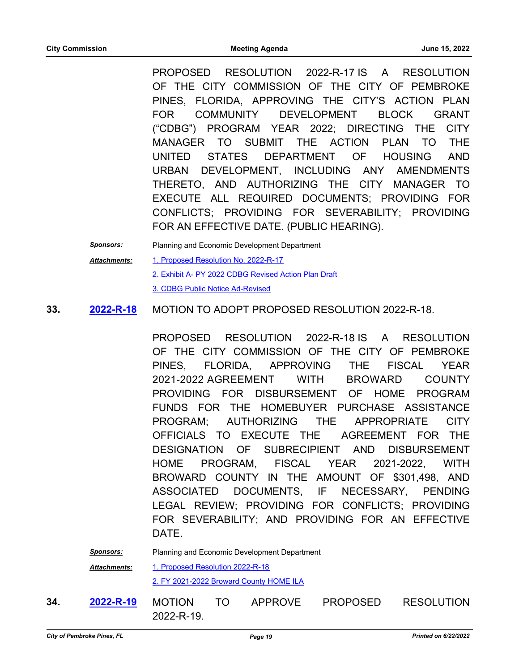PROPOSED RESOLUTION 2022-R-17 IS A RESOLUTION OF THE CITY COMMISSION OF THE CITY OF PEMBROKE PINES, FLORIDA, APPROVING THE CITY'S ACTION PLAN FOR COMMUNITY DEVELOPMENT BLOCK GRANT ("CDBG") PROGRAM YEAR 2022; DIRECTING THE CITY MANAGER TO SUBMIT THE ACTION PLAN TO THE UNITED STATES DEPARTMENT OF HOUSING AND URBAN DEVELOPMENT, INCLUDING ANY AMENDMENTS THERETO, AND AUTHORIZING THE CITY MANAGER TO EXECUTE ALL REQUIRED DOCUMENTS; PROVIDING FOR CONFLICTS; PROVIDING FOR SEVERABILITY; PROVIDING FOR AN EFFECTIVE DATE. (PUBLIC HEARING).

*Sponsors:* Planning and Economic Development Department [1. Proposed Resolution No. 2022-R-17](http://ppines.legistar.com/gateway.aspx?M=F&ID=0ea77daf-8360-4a14-b56c-8e9492d7f52a.pdf) [2. Exhibit A- PY 2022 CDBG Revised Action Plan Draft](http://ppines.legistar.com/gateway.aspx?M=F&ID=abbb35ff-2fae-4325-b83d-21e0965a2aa6.pdf) [3. CDBG Public Notice Ad-Revised](http://ppines.legistar.com/gateway.aspx?M=F&ID=1d4c6580-2526-4773-b72b-3bd77ced6d00.PDF) *Attachments:*

#### **33. 2022-R-18 MOTION TO ADOPT PROPOSED RESOLUTION 2022-R-18. [2022-R-18](http://ppines.legistar.com/gateway.aspx?m=l&id=/matter.aspx?key=15400)**

PROPOSED RESOLUTION 2022-R-18 IS A RESOLUTION OF THE CITY COMMISSION OF THE CITY OF PEMBROKE PINES, FLORIDA, APPROVING THE FISCAL YEAR 2021-2022 AGREEMENT WITH BROWARD COUNTY PROVIDING FOR DISBURSEMENT OF HOME PROGRAM FUNDS FOR THE HOMEBUYER PURCHASE ASSISTANCE PROGRAM; AUTHORIZING THE APPROPRIATE CITY OFFICIALS TO EXECUTE THE AGREEMENT FOR THE DESIGNATION OF SUBRECIPIENT AND DISBURSEMENT HOME PROGRAM, FISCAL YEAR 2021-2022, WITH BROWARD COUNTY IN THE AMOUNT OF \$301,498, AND ASSOCIATED DOCUMENTS, IF NECESSARY, PENDING LEGAL REVIEW; PROVIDING FOR CONFLICTS; PROVIDING FOR SEVERABILITY; AND PROVIDING FOR AN EFFECTIVE DATE.

# *Sponsors:* Planning and Economic Development Department [1. Proposed Resolution 2022-R-18](http://ppines.legistar.com/gateway.aspx?M=F&ID=81adc5ea-e831-405d-a3cb-289a11468dff.pdf) [2. FY 2021-2022 Broward County HOME ILA](http://ppines.legistar.com/gateway.aspx?M=F&ID=a019f5d8-0226-40a0-bbb1-f9f2c52b0d6e.pdf) *Attachments:*

**34. 2022-R-19** MOTION TO APPROVE PROPOSED RESOLUTION 2022-R-19. **[2022-R-19](http://ppines.legistar.com/gateway.aspx?m=l&id=/matter.aspx?key=15426)**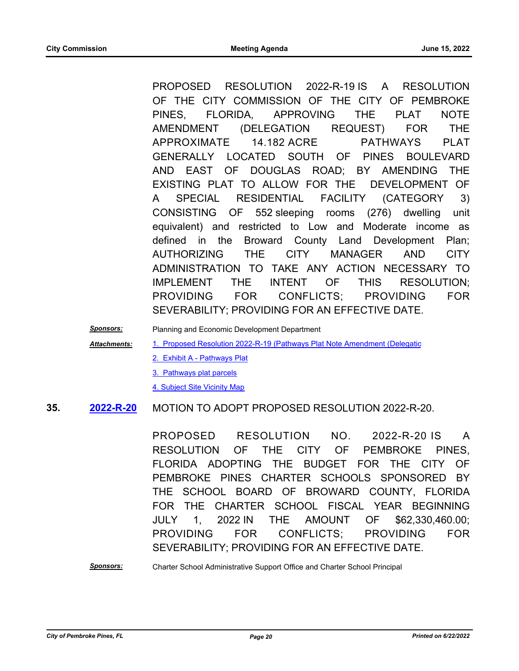PROPOSED RESOLUTION 2022-R-19 IS A RESOLUTION OF THE CITY COMMISSION OF THE CITY OF PEMBROKE PINES, FLORIDA, APPROVING THE PLAT NOTE AMENDMENT (DELEGATION REQUEST) FOR THE APPROXIMATE 14.182 ACRE PATHWAYS PLAT GENERALLY LOCATED SOUTH OF PINES BOULEVARD AND EAST OF DOUGLAS ROAD; BY AMENDING THE EXISTING PLAT TO ALLOW FOR THE DEVELOPMENT OF A SPECIAL RESIDENTIAL FACILITY (CATEGORY 3) CONSISTING OF 552 sleeping rooms (276) dwelling unit equivalent) and restricted to Low and Moderate income as defined in the Broward County Land Development Plan; AUTHORIZING THE CITY MANAGER AND CITY ADMINISTRATION TO TAKE ANY ACTION NECESSARY TO IMPLEMENT THE INTENT OF THIS RESOLUTION; PROVIDING FOR CONFLICTS; PROVIDING FOR SEVERABILITY; PROVIDING FOR AN EFFECTIVE DATE.

*Sponsors:* Planning and Economic Development Department

1. Proposed Resolution 2022-R-19 (Pathways Plat Note Amendment (Delegatic *Attachments:*

- [2. Exhibit A Pathways Plat](http://ppines.legistar.com/gateway.aspx?M=F&ID=fd9f9cc1-7d9a-4274-82b6-be17dadb2405.pdf)
- [3. Pathways plat parcels](http://ppines.legistar.com/gateway.aspx?M=F&ID=44313617-4dc1-4c4e-97fb-90c82afb79f9.pdf)

[4. Subject Site Vicinity Map](http://ppines.legistar.com/gateway.aspx?M=F&ID=8ecab3ae-74c6-4753-8ac3-c1710ffd4043.pdf)

#### **35. 2022-R-20 MOTION TO ADOPT PROPOSED RESOLUTION 2022-R-20. [2022-R-20](http://ppines.legistar.com/gateway.aspx?m=l&id=/matter.aspx?key=15419)**

PROPOSED RESOLUTION NO. 2022-R-20 IS A RESOLUTION OF THE CITY OF PEMBROKE PINES, FLORIDA ADOPTING THE BUDGET FOR THE CITY OF PEMBROKE PINES CHARTER SCHOOLS SPONSORED BY THE SCHOOL BOARD OF BROWARD COUNTY, FLORIDA FOR THE CHARTER SCHOOL FISCAL YEAR BEGINNING JULY 1, 2022 IN THE AMOUNT OF \$62,330,460.00; PROVIDING FOR CONFLICTS; PROVIDING FOR SEVERABILITY; PROVIDING FOR AN EFFECTIVE DATE.

#### *Sponsors:* Charter School Administrative Support Office and Charter School Principal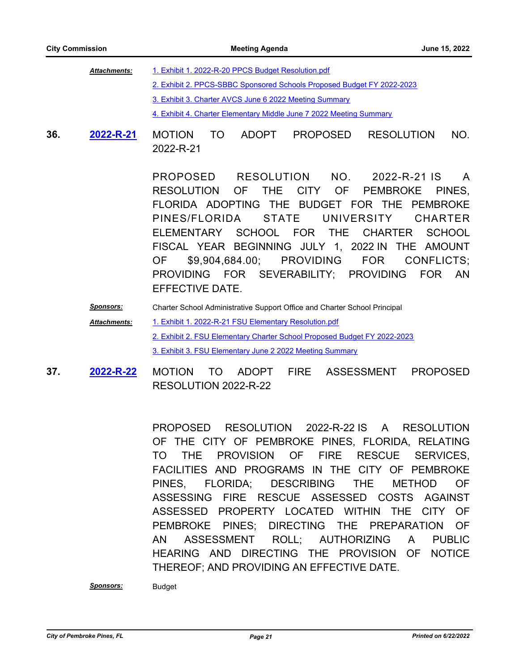| <b>Attachments:</b> | 1. Exhibit 1. 2022-R-20 PPCS Budget Resolution.pdf                     |
|---------------------|------------------------------------------------------------------------|
|                     | 2. Exhibit 2. PPCS-SBBC Sponsored Schools Proposed Budget FY 2022-2023 |
|                     | 3. Exhibit 3. Charter AVCS June 6 2022 Meeting Summary                 |
|                     | 4. Exhibit 4. Charter Elementary Middle June 7 2022 Meeting Summary    |

**36.** MOTION TO ADOPT PROPOSED RESOLUTION NO. 2022-R-21 **[2022-R-21](http://ppines.legistar.com/gateway.aspx?m=l&id=/matter.aspx?key=15420)**

> PROPOSED RESOLUTION NO. 2022-R-21 IS A RESOLUTION OF THE CITY OF PEMBROKE PINES, FLORIDA ADOPTING THE BUDGET FOR THE PEMBROKE PINES/FLORIDA STATE UNIVERSITY CHARTER ELEMENTARY SCHOOL FOR THE CHARTER SCHOOL FISCAL YEAR BEGINNING JULY 1, 2022 IN THE AMOUNT OF \$9,904,684.00; PROVIDING FOR CONFLICTS; PROVIDING FOR SEVERABILITY; PROVIDING FOR AN EFFECTIVE DATE.

*Sponsors:* Charter School Administrative Support Office and Charter School Principal

- [1. Exhibit 1. 2022-R-21 FSU Elementary Resolution.pdf](http://ppines.legistar.com/gateway.aspx?M=F&ID=054532b4-cdc5-4bf4-900c-f64c98302f1b.pdf) [2. Exhibit 2. FSU Elementary Charter School Proposed Budget FY 2022-2023](http://ppines.legistar.com/gateway.aspx?M=F&ID=75b04214-d042-453d-8b29-8e26987e7503.pdf) [3. Exhibit 3. FSU Elementary June 2 2022 Meeting Summary](http://ppines.legistar.com/gateway.aspx?M=F&ID=b8396d35-b115-4db7-9385-23dc78edc802.pdf) *Attachments:*
- **37. 2022-R-22 MOTION TO ADOPT FIRE ASSESSMENT PROPOSED** RESOLUTION 2022-R-22 **[2022-R-22](http://ppines.legistar.com/gateway.aspx?m=l&id=/matter.aspx?key=15444)**

PROPOSED RESOLUTION 2022-R-22 IS A RESOLUTION OF THE CITY OF PEMBROKE PINES, FLORIDA, RELATING TO THE PROVISION OF FIRE RESCUE SERVICES, FACILITIES AND PROGRAMS IN THE CITY OF PEMBROKE PINES, FLORIDA; DESCRIBING THE METHOD OF ASSESSING FIRE RESCUE ASSESSED COSTS AGAINST ASSESSED PROPERTY LOCATED WITHIN THE CITY OF PEMBROKE PINES; DIRECTING THE PREPARATION OF AN ASSESSMENT ROLL; AUTHORIZING A PUBLIC HEARING AND DIRECTING THE PROVISION OF NOTICE THEREOF; AND PROVIDING AN EFFECTIVE DATE.

*Sponsors:* Budget

*City of Pembroke Pines, FL Page 21 Printed on 6/22/2022*